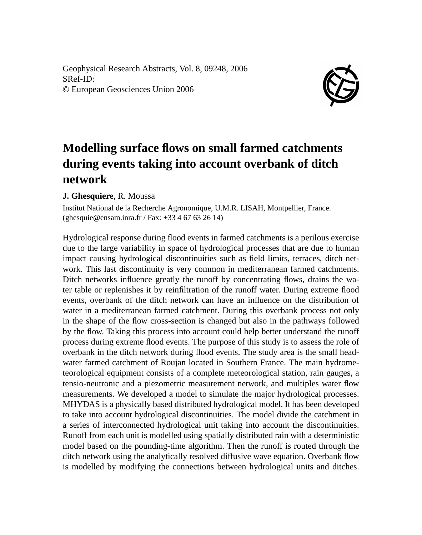Geophysical Research Abstracts, Vol. 8, 09248, 2006 SRef-ID: © European Geosciences Union 2006



## **Modelling surface flows on small farmed catchments during events taking into account overbank of ditch network**

## **J. Ghesquiere**, R. Moussa

Institut National de la Recherche Agronomique, U.M.R. LISAH, Montpellier, France. (ghesquie@ensam.inra.fr / Fax: +33 4 67 63 26 14)

Hydrological response during flood events in farmed catchments is a perilous exercise due to the large variability in space of hydrological processes that are due to human impact causing hydrological discontinuities such as field limits, terraces, ditch network. This last discontinuity is very common in mediterranean farmed catchments. Ditch networks influence greatly the runoff by concentrating flows, drains the water table or replenishes it by reinfiltration of the runoff water. During extreme flood events, overbank of the ditch network can have an influence on the distribution of water in a mediterranean farmed catchment. During this overbank process not only in the shape of the flow cross-section is changed but also in the pathways followed by the flow. Taking this process into account could help better understand the runoff process during extreme flood events. The purpose of this study is to assess the role of overbank in the ditch network during flood events. The study area is the small headwater farmed catchment of Roujan located in Southern France. The main hydrometeorological equipment consists of a complete meteorological station, rain gauges, a tensio-neutronic and a piezometric measurement network, and multiples water flow measurements. We developed a model to simulate the major hydrological processes. MHYDAS is a physically based distributed hydrological model. It has been developed to take into account hydrological discontinuities. The model divide the catchment in a series of interconnected hydrological unit taking into account the discontinuities. Runoff from each unit is modelled using spatially distributed rain with a deterministic model based on the pounding-time algorithm. Then the runoff is routed through the ditch network using the analytically resolved diffusive wave equation. Overbank flow is modelled by modifying the connections between hydrological units and ditches.